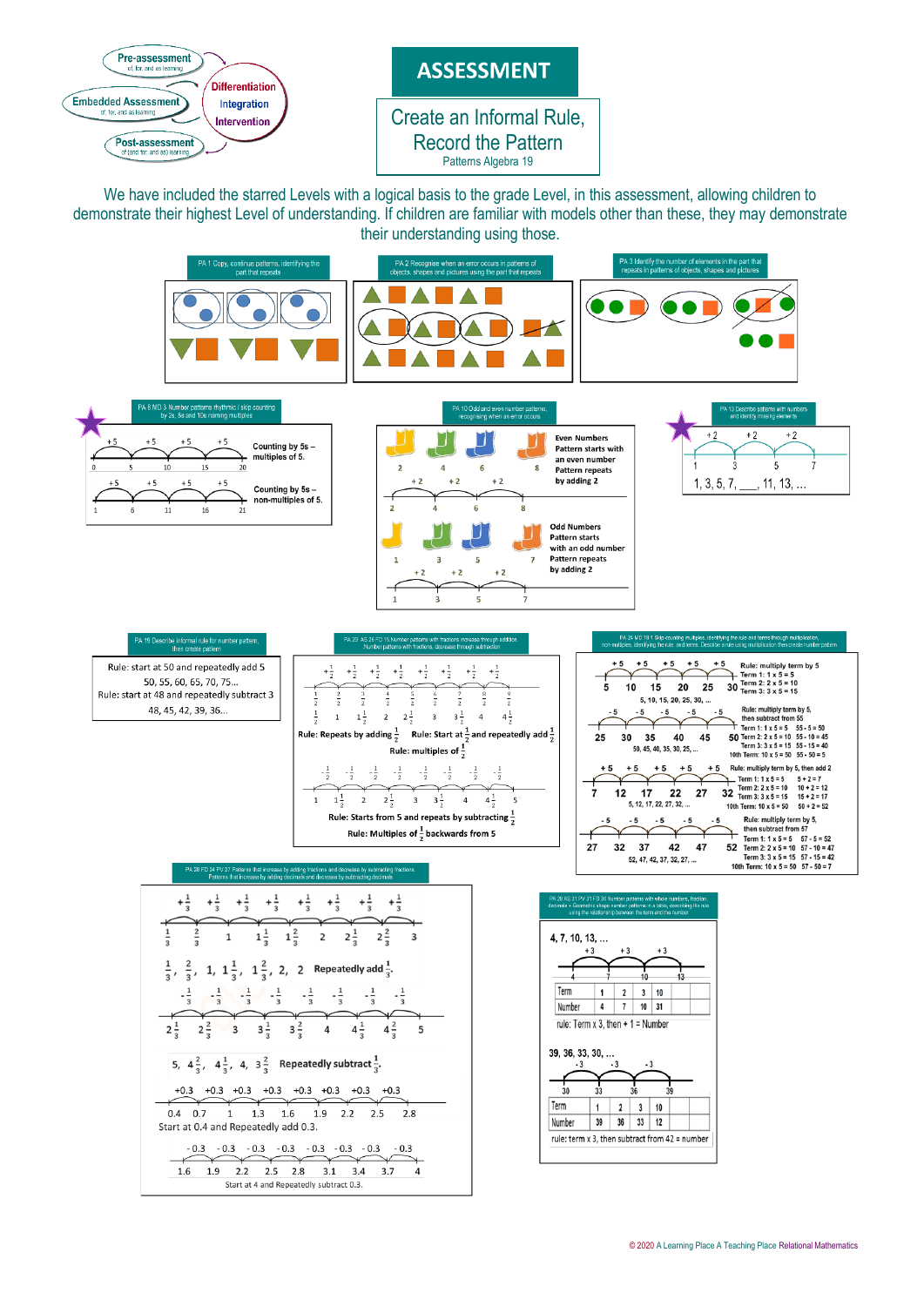

We have included the starred Levels with a logical basis to the grade Level, in this assessment, allowing children to demonstrate their highest Level of understanding. If children are familiar with models other than these, they may demonstrate their understanding using those.

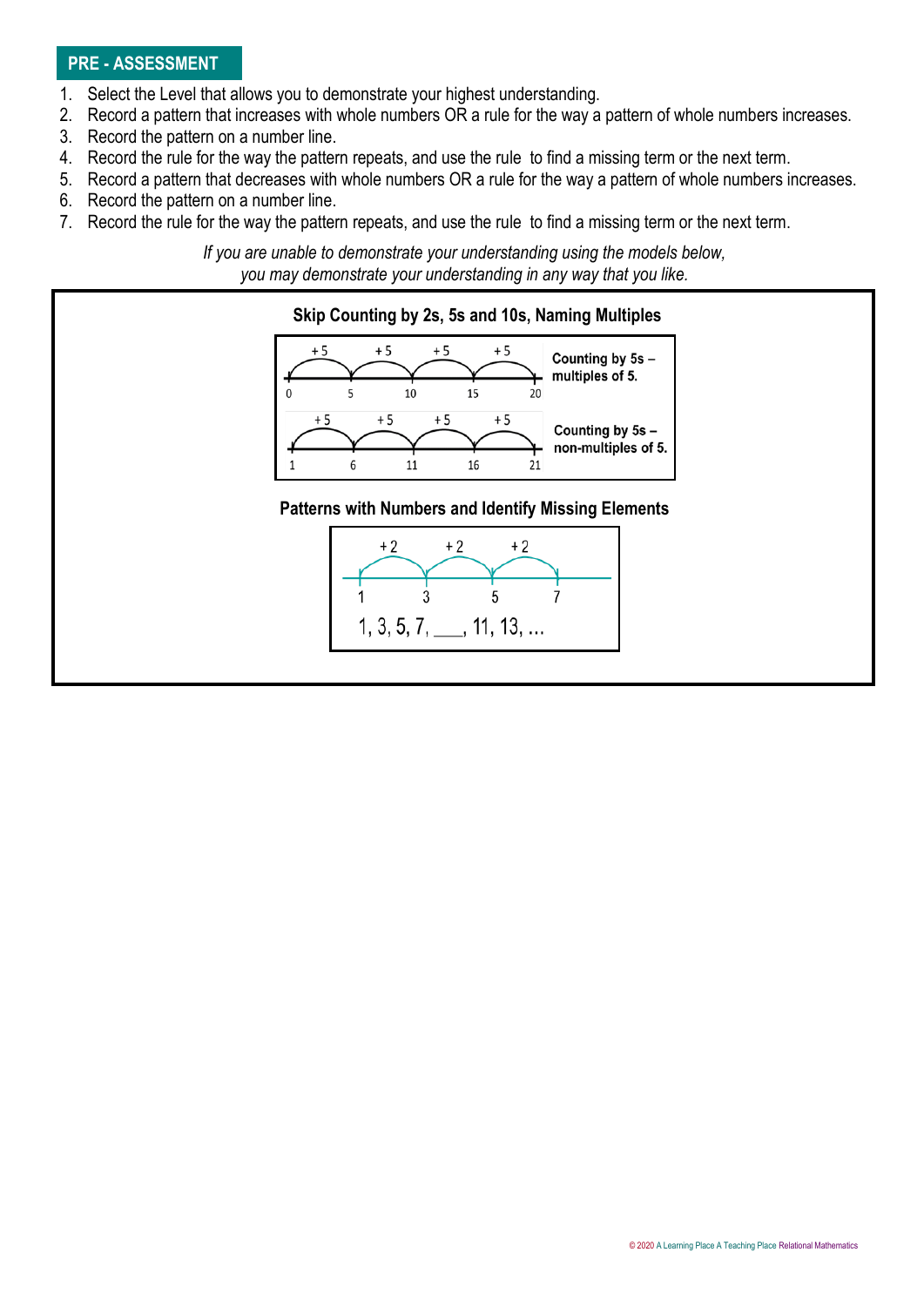## **PRE - ASSESSMENT**

- 1. Select the Level that allows you to demonstrate your highest understanding.
- 2. Record a pattern that increases with whole numbers OR a rule for the way a pattern of whole numbers increases.
- 3. Record the pattern on a number line.
- 4. Record the rule for the way the pattern repeats, and use the rule to find a missing term or the next term.
- 5. Record a pattern that decreases with whole numbers OR a rule for the way a pattern of whole numbers increases.
- 6. Record the pattern on a number line.
- 7. Record the rule for the way the pattern repeats, and use the rule to find a missing term or the next term.

*If you are unable to demonstrate your understanding using the models below, you may demonstrate your understanding in any way that you like.*